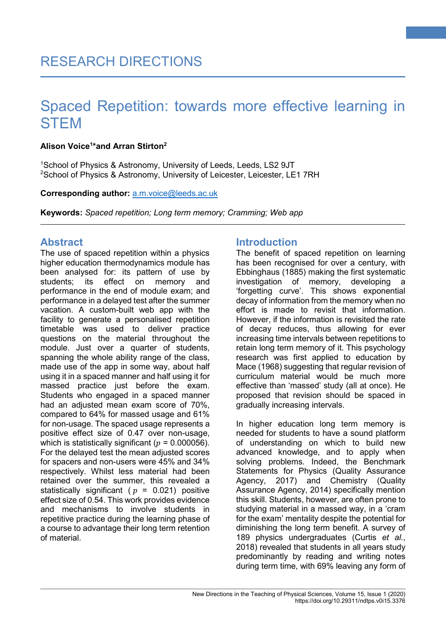## **Alison Voice1 \*and Arran Stirton2**

1 School of Physics & Astronomy, University of Leeds, Leeds, LS2 9JT  $^{2}$ School of Physics & Astronomy, University of Leicester, Leicester, LE1 7RH

## **Corresponding author:** [a.m.voice@leeds.ac.uk](mailto:a.m.voice@leeds.ac.uk)

**Keywords:** *Spaced repetition; Long term memory; Cramming; Web app*

# **Abstract**

The use of spaced repetition within a physics higher education thermodynamics module has been analysed for: its pattern of use by students; its effect on memory and performance in the end of module exam; and performance in a delayed test after the summer vacation. A custom-built web app with the facility to generate a personalised repetition timetable was used to deliver practice questions on the material throughout the module. Just over a quarter of students, spanning the whole ability range of the class, made use of the app in some way, about half using it in a spaced manner and half using it for massed practice just before the exam. Students who engaged in a spaced manner had an adjusted mean exam score of 70%, compared to 64% for massed usage and 61% for non-usage. The spaced usage represents a positive effect size of 0.47 over non-usage, which is statistically significant ( $p = 0.000056$ ). For the delayed test the mean adjusted scores for spacers and non-users were 45% and 34% respectively. Whilst less material had been retained over the summer, this revealed a statistically significant ( $p = 0.021$ ) positive effect size of 0.54. This work provides evidence and mechanisms to involve students in repetitive practice during the learning phase of a course to advantage their long term retention of material.

# **Introduction**

The benefit of spaced repetition on learning has been recognised for over a century, with Ebbinghaus [\(1885\)](#page-8-0) making the first systematic investigation of memory, developing a 'forgetting curve'. This shows exponential decay of information from the memory when no effort is made to revisit that information. However, if the information is revisited the rate of decay reduces, thus allowing for ever increasing time intervals between repetitions to retain long term memory of it. This psychology research was first applied to education by Mace [\(1968\)](#page-8-1) suggesting that regular revision of curriculum material would be much more effective than 'massed' study (all at once). He proposed that revision should be spaced in gradually increasing intervals.

**1**

In higher education long term memory is needed for students to have a sound platform of understanding on which to build new advanced knowledge, and to apply when solving problems. Indeed, the Benchmark Statements for Physics [\(Quality Assurance](#page-8-2)  [Agency, 2017\)](#page-8-2) and Chemistry [\(Quality](#page-8-3)  [Assurance Agency, 2014\)](#page-8-3) specifically mention this skill. Students, however, are often prone to studying material in a massed way, in a 'cram for the exam' mentality despite the potential for diminishing the long term benefit. A survey of 189 physics undergraduates [\(Curtis](#page-8-4) *et al.*, [2018\)](#page-8-4) revealed that students in all years study predominantly by reading and writing notes during term time, with 69% leaving any form of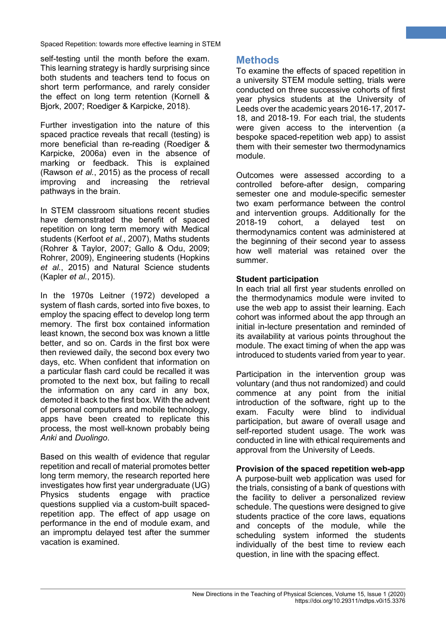self-testing until the month before the exam. This learning strategy is hardly surprising since both students and teachers tend to focus on short term performance, and rarely consider the effect on long term retention [\(Kornell &](#page-8-5) [Bjork, 2007;](#page-8-5) Roediger & [Karpicke, 2018\)](#page-8-6).

Further investigation into the nature of this spaced practice reveals that recall (testing) is more beneficial than re-reading [\(Roediger &](#page-8-7) [Karpicke, 2006a\)](#page-8-7) even in the absence of marking or feedback. This is explained [\(Rawson](#page-8-8) *et al.*, 2015) as the process of recall improving and increasing the retrieval pathways in the brain.

In STEM classroom situations recent studies have demonstrated the benefit of spaced repetition on long term memory with Medical students [\(Kerfoot](#page-8-9) *et al.*, 2007), Maths students (Rohrer & [Taylor, 2007;](#page-8-10) Gallo & [Odu, 2009;](#page-8-11) [Rohrer, 2009\)](#page-8-12), Engineering students [\(Hopkins](#page-8-13) *et al.*[, 2015\)](#page-8-13) and Natural Science students [\(Kapler](#page-8-14) *et al.*, 2015).

In the 1970s Leitner [\(1972\)](#page-8-15) developed a system of flash cards, sorted into five boxes, to employ the spacing effect to develop long term memory. The first box contained information least known, the second box was known a little better, and so on. Cards in the first box were then reviewed daily, the second box every two days, etc. When confident that information on a particular flash card could be recalled it was promoted to the next box, but failing to recall the information on any card in any box, demoted it back to the first box. With the advent of personal computers and mobile technology, apps have been created to replicate this process, the most well-known probably being *Anki* and *Duolingo*.

Based on this wealth of evidence that regular repetition and recall of material promotes better long term memory, the research reported here investigates how first year undergraduate (UG) Physics students engage with practice questions supplied via a custom-built spacedrepetition app. The effect of app usage on performance in the end of module exam, and an impromptu delayed test after the summer vacation is examined.

# **Methods**

To examine the effects of spaced repetition in a university STEM module setting, trials were conducted on three successive cohorts of first year physics students at the University of Leeds over the academic years 2016-17, 2017- 18, and 2018-19. For each trial, the students were given access to the intervention (a bespoke spaced-repetition web app) to assist them with their semester two thermodynamics module.

**2**

Outcomes were assessed according to a controlled before-after design, comparing semester one and module-specific semester two exam performance between the control and intervention groups. Additionally for the 2018-19 cohort, a delayed test on thermodynamics content was administered at the beginning of their second year to assess how well material was retained over the summer.

## **Student participation**

In each trial all first year students enrolled on the thermodynamics module were invited to use the web app to assist their learning. Each cohort was informed about the app through an initial in-lecture presentation and reminded of its availability at various points throughout the module. The exact timing of when the app was introduced to students varied from year to year.

Participation in the intervention group was voluntary (and thus not randomized) and could commence at any point from the initial introduction of the software, right up to the exam. Faculty were blind to individual participation, but aware of overall usage and self-reported student usage. The work was conducted in line with ethical requirements and approval from the University of Leeds.

## **Provision of the spaced repetition web-app**

A purpose-built web application was used for the trials, consisting of a bank of questions with the facility to deliver a personalized review schedule. The questions were designed to give students practice of the core laws, equations and concepts of the module, while the scheduling system informed the students individually of the best time to review each question, in line with the spacing effect.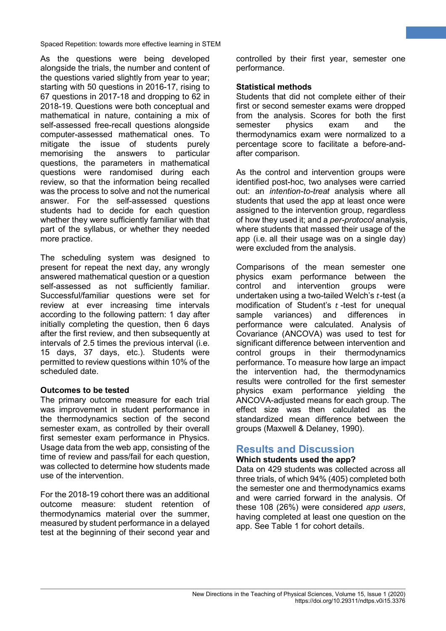As the questions were being developed alongside the trials, the number and content of the questions varied slightly from year to year; starting with 50 questions in 2016-17, rising to 67 questions in 2017-18 and dropping to 62 in 2018-19. Questions were both conceptual and mathematical in nature, containing a mix of self-assessed free-recall questions alongside computer-assessed mathematical ones. To mitigate the issue of students purely memorising the answers to particular questions, the parameters in mathematical questions were randomised during each review, so that the information being recalled was the process to solve and not the numerical answer. For the self-assessed questions students had to decide for each question whether they were sufficiently familiar with that part of the syllabus, or whether they needed more practice.

The scheduling system was designed to present for repeat the next day, any wrongly answered mathematical question or a question self-assessed as not sufficiently familiar. Successful/familiar questions were set for review at ever increasing time intervals according to the following pattern: 1 day after initially completing the question, then 6 days after the first review, and then subsequently at intervals of 2.5 times the previous interval (i.e. 15 days, 37 days, etc.). Students were permitted to review questions within 10% of the scheduled date.

## **Outcomes to be tested**

The primary outcome measure for each trial was improvement in student performance in the thermodynamics section of the second semester exam, as controlled by their overall first semester exam performance in Physics. Usage data from the web app, consisting of the time of review and pass/fail for each question, was collected to determine how students made use of the intervention.

For the 2018-19 cohort there was an additional outcome measure: student retention of thermodynamics material over the summer, measured by student performance in a delayed test at the beginning of their second year and controlled by their first year, semester one performance.

**3**

## **Statistical methods**

Students that did not complete either of their first or second semester exams were dropped from the analysis. Scores for both the first semester physics exam and the thermodynamics exam were normalized to a percentage score to facilitate a before-andafter comparison.

As the control and intervention groups were identified post-hoc, two analyses were carried out: an *intention-to-treat* analysis where all students that used the app at least once were assigned to the intervention group, regardless of how they used it; and a *per-protocol* analysis, where students that massed their usage of the app (i.e. all their usage was on a single day) were excluded from the analysis.

Comparisons of the mean semester one physics exam performance between the control and intervention groups were undertaken using a two-tailed Welch's  $t$ -test (a modification of Student's  $t$ -test for unequal sample variances) and differences in variances) and performance were calculated. Analysis of Covariance (ANCOVA) was used to test for significant difference between intervention and control groups in their thermodynamics performance. To measure how large an impact the intervention had, the thermodynamics results were controlled for the first semester physics exam performance yielding the ANCOVA-adjusted means for each group. The effect size was then calculated as the standardized mean difference between the groups (Maxwell & [Delaney, 1990\)](#page-8-16).

## **Results and Discussion**

## **Which students used the app?**

Data on 429 students was collected across all three trials, of which 94% (405) completed both the semester one and thermodynamics exams and were carried forward in the analysis. Of these 108 (26%) were considered *app users*, having completed at least one question on the app. See Table 1 for cohort details.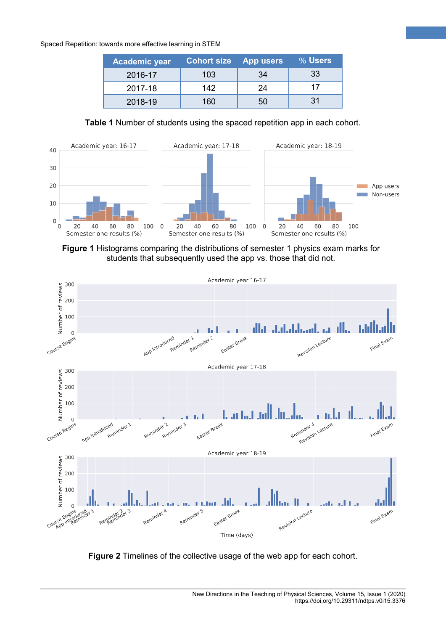| <b>Academic year</b> | <b>Cohort size</b> | <b>App users</b> | $\sqrt{9}$ Users |
|----------------------|--------------------|------------------|------------------|
| 2016-17              | 103                | 34               | 33               |
| 2017-18              | 142                | 24               | 17               |
| 2018-19              | 160                | 50               | 31               |

**4**

**Table 1** Number of students using the spaced repetition app in each cohort.



**Figure 1** Histograms comparing the distributions of semester 1 physics exam marks for students that subsequently used the app vs. those that did not.



**Figure 2** Timelines of the collective usage of the web app for each cohort.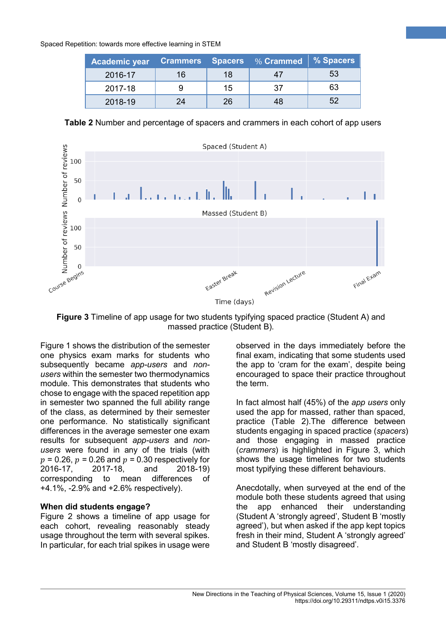| Academic year |    |    | Crammers Spacers %Crammed %Spacers |     |
|---------------|----|----|------------------------------------|-----|
| 2016-17       | 16 | 18 |                                    | 53  |
| 2017-18       |    | 15 | -37                                | 63  |
| 2018-19       | 24 | 26 | 48                                 | .52 |

**Table 2** Number and percentage of spacers and crammers in each cohort of app users



**Figure 3** Timeline of app usage for two students typifying spaced practice (Student A) and massed practice (Student B).

Figure 1 shows the distribution of the semester one physics exam marks for students who subsequently became *app-users* and *nonusers* within the semester two thermodynamics module. This demonstrates that students who chose to engage with the spaced repetition app in semester two spanned the full ability range of the class, as determined by their semester one performance. No statistically significant differences in the average semester one exam results for subsequent *app-users* and *nonusers* were found in any of the trials (with  $p = 0.26$ ,  $p = 0.26$  and  $p = 0.30$  respectively for <br>2016-17. 2017-18. and 2018-19)  $2016 - 17$ . corresponding to mean differences of +4.1%, -2.9% and +2.6% respectively).

## **When did students engage?**

Figure 2 shows a timeline of app usage for each cohort, revealing reasonably steady usage throughout the term with several spikes. In particular, for each trial spikes in usage were observed in the days immediately before the final exam, indicating that some students used the app to 'cram for the exam', despite being encouraged to space their practice throughout the term.

**5**

In fact almost half (45%) of the *app users* only used the app for massed, rather than spaced, practice (Table 2).The difference between students engaging in spaced practice (*spacers*) and those engaging in massed practice (*crammers*) is highlighted in Figure 3, which shows the usage timelines for two students most typifying these different behaviours.

Anecdotally, when surveyed at the end of the module both these students agreed that using the app enhanced their understanding (Student A 'strongly agreed', Student B 'mostly agreed'), but when asked if the app kept topics fresh in their mind, Student A 'strongly agreed' and Student B 'mostly disagreed'.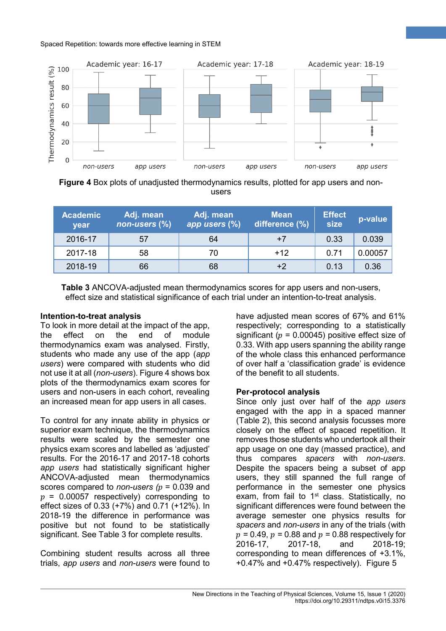

**Figure 4** Box plots of unadjusted thermodynamics results, plotted for app users and nonusers

| <b>Academic</b><br>year | Adj. mean<br>non-users (%) | Adj. mean<br>app users (%) | <b>Mean</b><br>difference (%) | <b>Effect</b><br>size | p-value |
|-------------------------|----------------------------|----------------------------|-------------------------------|-----------------------|---------|
| 2016-17                 | 57                         | 64                         | $+7$                          | 0.33                  | 0.039   |
| 2017-18                 | 58                         | 70                         | $+12$                         | 0.71                  | 0.00057 |
| 2018-19                 | 66                         | 68                         | +2                            | 0.13                  | 0.36    |

**Table 3** ANCOVA-adjusted mean thermodynamics scores for app users and non-users, effect size and statistical significance of each trial under an intention-to-treat analysis.

## **Intention-to-treat analysis**

To look in more detail at the impact of the app, the effect on the end of module thermodynamics exam was analysed. Firstly, students who made any use of the app (*app users*) were compared with students who did not use it at all (*non-users*). Figure 4 shows box plots of the thermodynamics exam scores for users and non-users in each cohort, revealing an increased mean for app users in all cases.

To control for any innate ability in physics or superior exam technique, the thermodynamics results were scaled by the semester one physics exam scores and labelled as 'adjusted' results. For the 2016-17 and 2017-18 cohorts *app users* had statistically significant higher ANCOVA-adjusted mean thermodynamics scores compared to *non-users*  $(p = 0.039$  and  $p = 0.00057$  respectively) corresponding to effect sizes of 0.33 (+7%) and 0.71 (+12%). In 2018-19 the difference in performance was positive but not found to be statistically significant. See Table 3 for complete results.

Combining student results across all three trials, *app users* and *non-users* were found to have adjusted mean scores of 67% and 61% respectively; corresponding to a statistically significant ( $p = 0.00045$ ) positive effect size of 0.33. With app users spanning the ability range of the whole class this enhanced performance of over half a 'classification grade' is evidence of the benefit to all students.

**6**

## **Per-protocol analysis**

Since only just over half of the *app users* engaged with the app in a spaced manner (Table 2), this second analysis focusses more closely on the effect of spaced repetition. It removes those students who undertook all their app usage on one day (massed practice), and thus compares *spacers* with *non-users*. Despite the spacers being a subset of app users, they still spanned the full range of performance in the semester one physics exam, from fail to  $1<sup>st</sup>$  class. Statistically, no significant differences were found between the average semester one physics results for *spacers* and *non-users* in any of the trials (with  $p = 0.49$ ,  $p = 0.88$  and  $p = 0.88$  respectively for <br>2016-17. 2017-18. and 2018-19: 2018-19; corresponding to mean differences of +3.1%,  $+0.47\%$  and  $+0.47\%$  respectively). Figure 5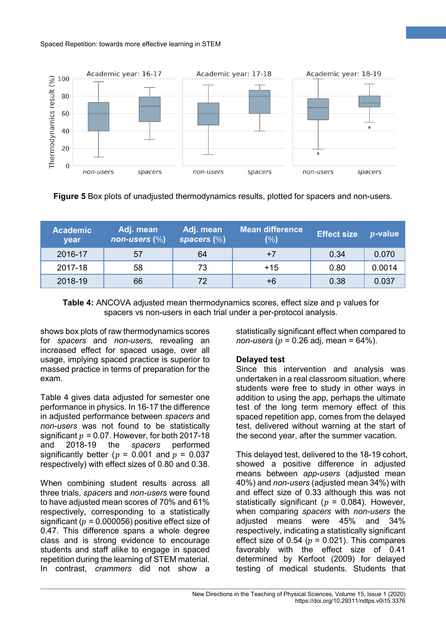

**Figure 5** Box plots of unadjusted thermodynamics results, plotted for spacers and non-users*.*

| <b>Academic</b><br>year | Adj. mean<br>$\sqrt{np}$ non-users $(\%)$ | Adj. mean<br>spacers $(\%)$ | <b>Mean difference</b><br>(%) | <b>Effect size</b> | $p$ -value |
|-------------------------|-------------------------------------------|-----------------------------|-------------------------------|--------------------|------------|
| 2016-17                 | 57                                        | 64                          |                               | 0.34               | 0.070      |
| 2017-18                 | 58                                        | 73                          | $+15$                         | 0.80               | 0.0014     |
| 2018-19                 | 66                                        | 72                          | +6                            | 0.38               | 0.037      |

**Table 4:** ANCOVA adjusted mean thermodynamics scores, effect size and p values for spacers vs non-users in each trial under a per-protocol analysis.

shows box plots of raw thermodynamics scores for *spacers* and *non-users*, revealing an increased effect for spaced usage, over all usage, implying spaced practice is superior to massed practice in terms of preparation for the exam.

Table 4 gives data adjusted for semester one performance in physics. In 16-17 the difference in adjusted performance between *spacers* and *non-users* was not found to be statistically significant  $p = 0.07$ . However, for both 2017-18<br>and 2018-19 the spacers performed performed significantly better ( $p = 0.001$  and  $p = 0.037$ respectively) with effect sizes of 0.80 and 0.38.

When combining student results across all three trials, *spacers* and *non-users* were found to have adjusted mean scores of 70% and 61% respectively, corresponding to a statistically significant ( $p = 0.000056$ ) positive effect size of 0.47. This difference spans a whole degree class and is strong evidence to encourage students and staff alike to engage in spaced repetition during the learning of STEM material. In contrast, *crammers* did not show a statistically significant effect when compared to *non-users* ( $p = 0.26$  adj, mean =  $64\%$ ).

**7**

## **Delayed test**

Since this intervention and analysis was undertaken in a real classroom situation, where students were free to study in other ways in addition to using the app, perhaps the ultimate test of the long term memory effect of this spaced repetition app, comes from the delayed test, delivered without warning at the start of the second year, after the summer vacation.

This delayed test, delivered to the 18-19 cohort, showed a positive difference in adjusted means between *app-users* (adjusted mean 40%) and *non-users* (adjusted mean 34%) with and effect size of 0.33 although this was not statistically significant ( $p = 0.084$ ). However, when comparing *spacers* with *non-users* the adjusted means were 45% and 34% respectively, indicating a statistically significant effect size of 0.54 ( $p = 0.021$ ). This compares favorably with the effect size of 0.41 determined by Kerfoot [\(2009\)](#page-8-17) for delayed testing of medical students. Students that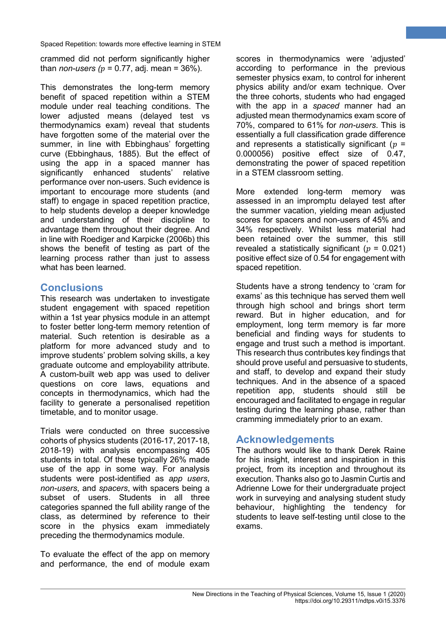crammed did not perform significantly higher than *non-users* ( $p = 0.77$ , adj. mean = 36%).

This demonstrates the long-term memory benefit of spaced repetition within a STEM module under real teaching conditions. The lower adjusted means (delayed test vs thermodynamics exam) reveal that students have forgotten some of the material over the summer, in line with Ebbinghaus' forgetting curve [\(Ebbinghaus, 1885\)](#page-8-0). But the effect of using the app in a spaced manner has significantly enhanced students' relative performance over non-users. Such evidence is important to encourage more students (and staff) to engage in spaced repetition practice, to help students develop a deeper knowledge and understanding of their discipline to advantage them throughout their degree. And in line with Roediger and Karpicke [\(2006b\)](#page-8-18) this shows the benefit of testing as part of the learning process rather than just to assess what has been learned.

# **Conclusions**

This research was undertaken to investigate student engagement with spaced repetition within a 1st year physics module in an attempt to foster better long-term memory retention of material. Such retention is desirable as a platform for more advanced study and to improve students' problem solving skills, a key graduate outcome and employability attribute. A custom-built web app was used to deliver questions on core laws, equations and concepts in thermodynamics, which had the facility to generate a personalised repetition timetable, and to monitor usage.

Trials were conducted on three successive cohorts of physics students (2016-17, 2017-18, 2018-19) with analysis encompassing 405 students in total. Of these typically 26% made use of the app in some way. For analysis students were post-identified as *app users*, *non-users*, and *spacers*, with spacers being a subset of users. Students in all three categories spanned the full ability range of the class, as determined by reference to their score in the physics exam immediately preceding the thermodynamics module.

To evaluate the effect of the app on memory and performance, the end of module exam

scores in thermodynamics were 'adjusted' according to performance in the previous semester physics exam, to control for inherent physics ability and/or exam technique. Over the three cohorts, students who had engaged with the app in a *spaced* manner had an adjusted mean thermodynamics exam score of 70%, compared to 61% for *non-users*. This is essentially a full classification grade difference and represents a statistically significant ( $p =$ 0.000056) positive effect size of 0.47, demonstrating the power of spaced repetition in a STEM classroom setting.

**8**

More extended long-term memory was assessed in an impromptu delayed test after the summer vacation, yielding mean adjusted scores for spacers and non-users of 45% and 34% respectively. Whilst less material had been retained over the summer, this still revealed a statistically significant ( $p = 0.021$ ) positive effect size of 0.54 for engagement with spaced repetition.

Students have a strong tendency to 'cram for exams' as this technique has served them well through high school and brings short term reward. But in higher education, and for employment, long term memory is far more beneficial and finding ways for students to engage and trust such a method is important. This research thus contributes key findings that should prove useful and persuasive to students, and staff, to develop and expand their study techniques. And in the absence of a spaced repetition app, students should still be encouraged and facilitated to engage in regular testing during the learning phase, rather than cramming immediately prior to an exam.

## **Acknowledgements**

The authors would like to thank Derek Raine for his insight, interest and inspiration in this project, from its inception and throughout its execution. Thanks also go to Jasmin Curtis and Adrienne Lowe for their undergraduate project work in surveying and analysing student study behaviour, highlighting the tendency for students to leave self-testing until close to the exams.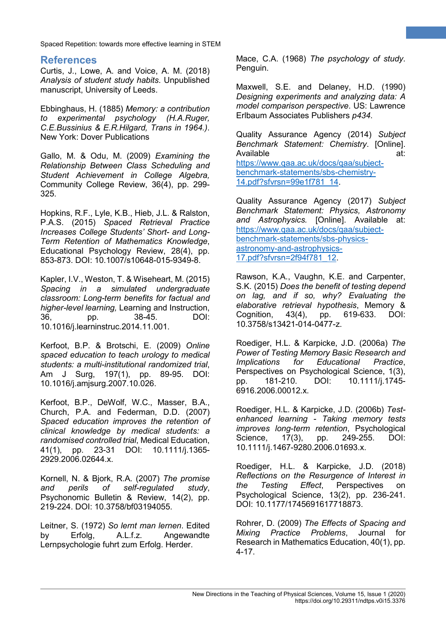# **References**

<span id="page-8-4"></span>Curtis, J., Lowe, A. and Voice, A. M. (2018) *Analysis of student study habits*. Unpublished manuscript, University of Leeds.

<span id="page-8-0"></span>Ebbinghaus, H. (1885) *Memory: a contribution to experimental psychology (H.A.Ruger, C.E.Bussinius & E.R.Hilgard, Trans in 1964.)*. New York: Dover Publications

<span id="page-8-11"></span>Gallo, M. & Odu, M. (2009) *Examining the Relationship Between Class Scheduling and Student Achievement in College Algebra,* Community College Review, 36(4), pp. 299- 325.

<span id="page-8-13"></span>Hopkins, R.F., Lyle, K.B., Hieb, J.L. & Ralston, P.A.S. (2015) *Spaced Retrieval Practice Increases College Students' Short- and Long-Term Retention of Mathematics Knowledge*, Educational Psychology Review, 28(4), pp. 853-873. DOI: 10.1007/s10648-015-9349-8.

<span id="page-8-14"></span>Kapler, I.V., Weston, T. & Wiseheart, M. (2015) *Spacing in a simulated undergraduate classroom: Long-term benefits for factual and higher-level learning,* Learning and Instruction, 36, pp. 38-45. DOI: 10.1016/j.learninstruc.2014.11.001.

<span id="page-8-17"></span>Kerfoot, B.P. & Brotschi, E. (2009) *Online spaced education to teach urology to medical students: a multi-institutional randomized trial*, Am J Surg, 197(1), pp. 89-95. DOI: 10.1016/j.amjsurg.2007.10.026.

<span id="page-8-9"></span>Kerfoot, B.P., DeWolf, W.C., Masser, B.A., Church, P.A. and Federman, D.D. (2007) *Spaced education improves the retention of clinical knowledge by medical students: a randomised controlled trial*, Medical Education, 41(1), pp. 23-31 DOI: 10.1111/j.1365- 2929.2006.02644.x.

<span id="page-8-5"></span>Kornell, N. & Bjork, R.A. (2007) *The promise and perils of self-regulated study*, Psychonomic Bulletin & Review, 14(2), pp. 219-224. DOI: 10.3758/bf03194055.

<span id="page-8-15"></span><span id="page-8-1"></span>Leitner, S. (1972) *So lernt man lernen*. Edited by Erfolg, A.L.f.z. Angewandte Lernpsychologie fuhrt zum Erfolg. Herder.

Mace, C.A. (1968) *The psychology of study*. Penguin.

**9**

<span id="page-8-16"></span>Maxwell, S.E. and Delaney, H.D. (1990) *Designing experiments and analyzing data: A model comparison perspective*. US: Lawrence Erlbaum Associates Publishers *p434*.

<span id="page-8-3"></span>Quality Assurance Agency (2014) *Subject Benchmark Statement: Chemistry*. [Online]. Available at: [https://www.qaa.ac.uk/docs/qaa/subject](https://www.qaa.ac.uk/docs/qaa/subject-benchmark-statements/sbs-chemistry-14.pdf?sfvrsn=99e1f781_14)[benchmark-statements/sbs-chemistry-](https://www.qaa.ac.uk/docs/qaa/subject-benchmark-statements/sbs-chemistry-14.pdf?sfvrsn=99e1f781_14)[14.pdf?sfvrsn=99e1f781\\_14.](https://www.qaa.ac.uk/docs/qaa/subject-benchmark-statements/sbs-chemistry-14.pdf?sfvrsn=99e1f781_14)

<span id="page-8-2"></span>Quality Assurance Agency (2017) *Subject Benchmark Statement: Physics, Astronomy and Astrophysics.* [Online]. Available at: [https://www.qaa.ac.uk/docs/qaa/subject](https://www.qaa.ac.uk/docs/qaa/subject-benchmark-statements/sbs-physics-astronomy-and-astrophysics-17.pdf?sfvrsn=2f94f781_12)[benchmark-statements/sbs-physics](https://www.qaa.ac.uk/docs/qaa/subject-benchmark-statements/sbs-physics-astronomy-and-astrophysics-17.pdf?sfvrsn=2f94f781_12)[astronomy-and-astrophysics-](https://www.qaa.ac.uk/docs/qaa/subject-benchmark-statements/sbs-physics-astronomy-and-astrophysics-17.pdf?sfvrsn=2f94f781_12)[17.pdf?sfvrsn=2f94f781\\_12.](https://www.qaa.ac.uk/docs/qaa/subject-benchmark-statements/sbs-physics-astronomy-and-astrophysics-17.pdf?sfvrsn=2f94f781_12)

<span id="page-8-8"></span>Rawson, K.A., Vaughn, K.E. and Carpenter, S.K. (2015) *Does the benefit of testing depend on lag, and if so, why? Evaluating the elaborative retrieval hypothesis*, Memory & Cognition, 43(4), pp. 619-633. DOI: 10.3758/s13421-014-0477-z.

<span id="page-8-7"></span>Roediger, H.L. & Karpicke, J.D. (2006a) *The Power of Testing Memory Basic Research and Implications for Educational Practice*, Perspectives on Psychological Science, 1(3), pp. 181-210. DOI: 10.1111/j.1745- 6916.2006.00012.x.

<span id="page-8-18"></span>Roediger, H.L. & Karpicke, J.D. (2006b) *Testenhanced learning - Taking memory tests improves long-term retention*, Psychological Science, 17(3), pp. 249-255. 10.1111/j.1467-9280.2006.01693.x.

<span id="page-8-6"></span>Roediger, H.L. & Karpicke, J.D. (2018) *Reflections on the Resurgence of Interest in the Testing Effect*, Perspectives on Psychological Science, 13(2), pp. 236-241. DOI: 10.1177/1745691617718873.

<span id="page-8-12"></span><span id="page-8-10"></span>Rohrer, D. (2009) *The Effects of Spacing and Mixing Practice Problems*, Journal for Research in Mathematics Education, 40(1), pp. 4-17.